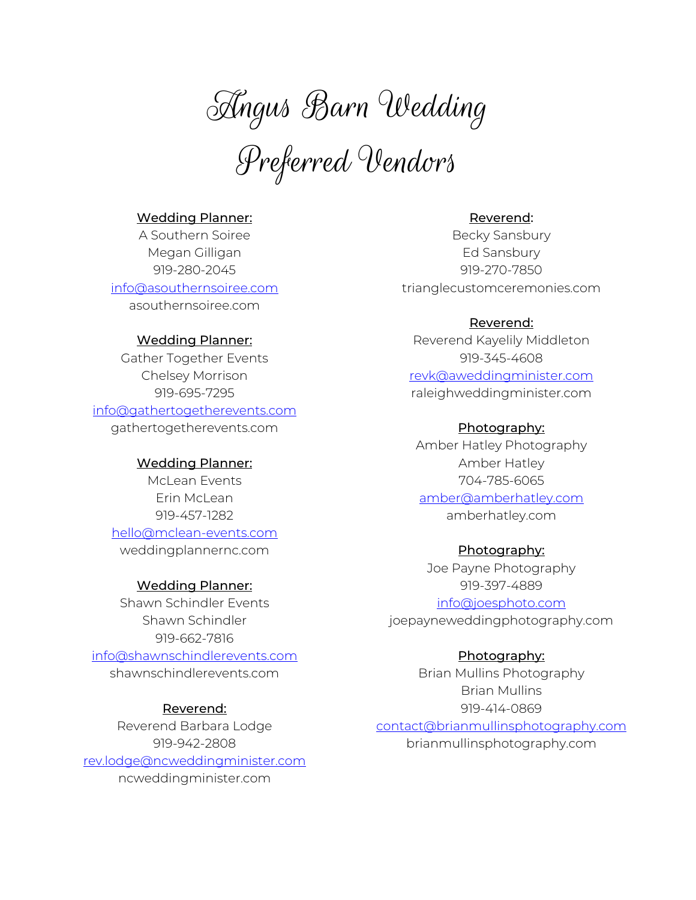Angus Barn Wedding

Preferred Vendors

# Wedding Planner:

A Southern Soiree Megan Gilligan 919-280-2045 info@asouthernsoiree.com asouthernsoiree.com

## Wedding Planner:

Gather Together Events Chelsey Morrison 919-695-7295

info@gathertogetherevents.com

gathertogetherevents.com

## Wedding Planner:

McLean Events Erin McLean 919-457-1282

hello@mclean-events.com weddingplannernc.com

#### Wedding Planner:

Shawn Schindler Events Shawn Schindler 919-662-7816 info@shawnschindlerevents.com shawnschindlerevents.com

## Reverend:

Reverend Barbara Lodge 919-942-2808 rev.lodge@ncweddingminister.com ncweddingminister.com

# Reverend:

Becky Sansbury Ed Sansbury 919-270-7850 trianglecustomceremonies.com

## Reverend:

Reverend Kayelily Middleton 919-345-4608 revk@aweddingminister.com raleighweddingminister.com

## Photography:

Amber Hatley Photography Amber Hatley 704-785-6065 amber@amberhatley.com amberhatley.com

#### Photography:

Joe Payne Photography 919-397-4889 info@joesphoto.com joepayneweddingphotography.com

## Photography:

Brian Mullins Photography Brian Mullins 919-414-0869

contact@brianmullinsphotography.com brianmullinsphotography.com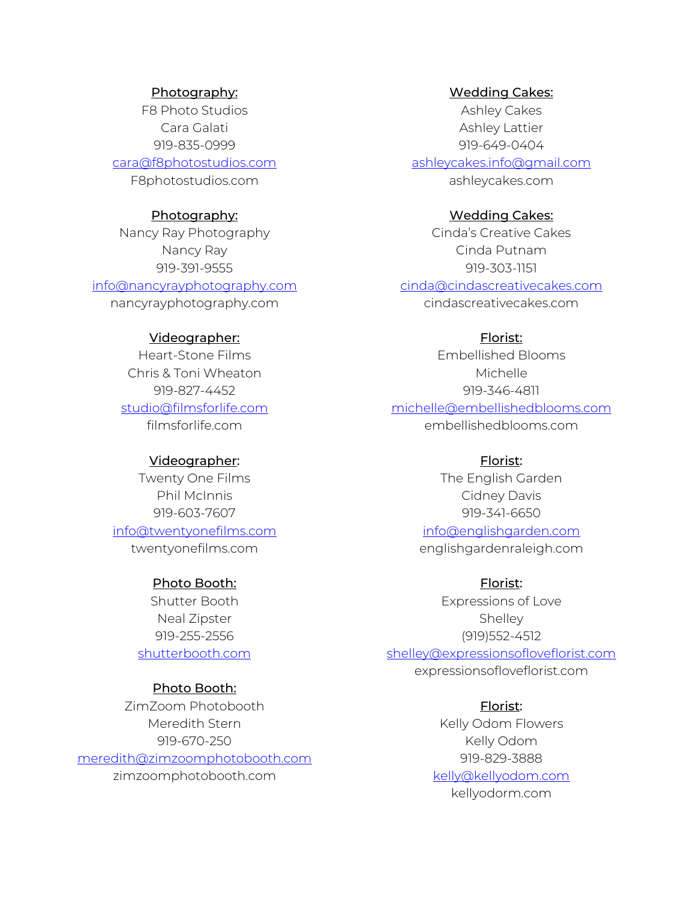## Photography:

F8 Photo Studios Cara Galati 919-835-0999 cara@f8photostudios.com F8photostudios.com

#### Photography:

Nancy Ray Photography Nancy Ray 919-391-9555 info@nancyrayphotography.com nancyrayphotography.com

# Videographer:

Heart-Stone Films Chris & Toni Wheaton 919-827-4452 studio@filmsforlife.com filmsforlife.com

## Videographer:

Twenty One Films Phil McInnis 919-603-7607 info@twentyonefilms.com twentyonefilms.com

# Photo Booth:

Shutter Booth Neal Zipster 919-255-2556 shutterbooth.com

## Photo Booth:

ZimZoom Photobooth Meredith Stern 919-670-250 meredith@zimzoomphotobooth.com zimzoomphotobooth.com

Wedding Cakes:

Ashley Cakes Ashley Lattier 919-649-0404 ashleycakes.info@gmail.com ashleycakes.com

## Wedding Cakes:

Cinda's Creative Cakes Cinda Putnam 919-303-1151 cinda@cindascreativecakes.com cindascreativecakes.com

# Florist:

Embellished Blooms Michelle 919-346-4811 michelle@embellishedblooms.com embellishedblooms.com

#### Florist:

The English Garden Cidney Davis 919-341-6650

info@englishgarden.com englishgardenraleigh.com

Florist: Expressions of Love **Shelley** (919)552-4512 shelley@expressionsofloveflorist.com

expressionsofloveflorist.com

Florist: Kelly Odom Flowers Kelly Odom 919-829-3888 kelly@kellyodom.com kellyodorm.com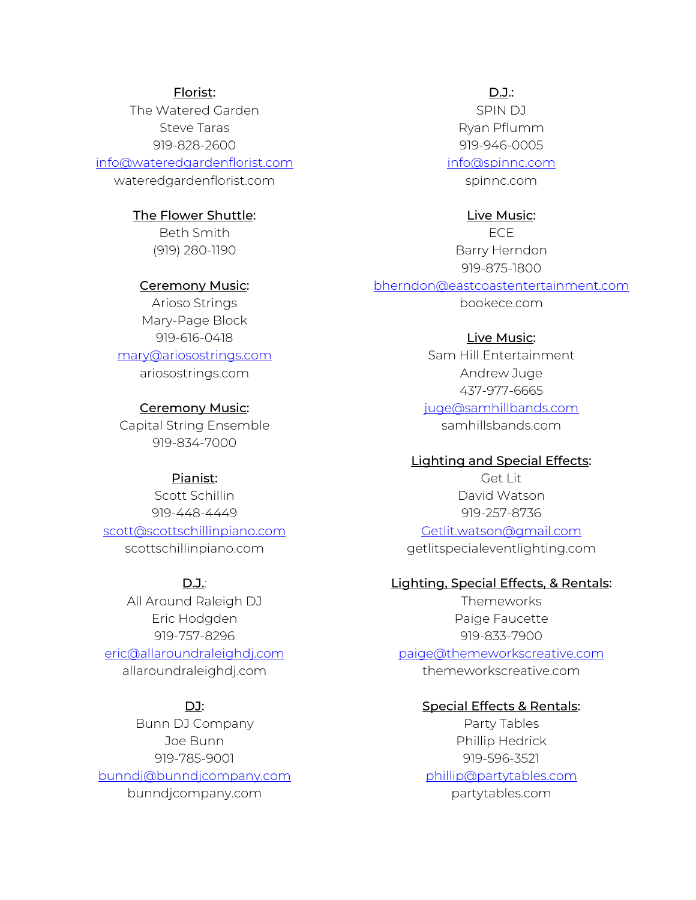## Florist:

The Watered Garden Steve Taras 919-828-2600 info@wateredgardenflorist.com

wateredgardenflorist.com

## The Flower Shuttle:

Beth Smith (919) 280-1190

## Ceremony Music:

Arioso Strings Mary-Page Block 919-616-0418 mary@ariosostrings.com ariosostrings.com

## Ceremony Music:

Capital String Ensemble 919-834-7000

#### Pianist:

Scott Schillin 919-448-4449 scott@scottschillinpiano.com scottschillinpiano.com

## D.J.:

All Around Raleigh DJ Eric Hodgden 919-757-8296 eric@allaroundraleighdj.com allaroundraleighdj.com

# DJ:

Bunn DJ Company Joe Bunn 919-785-9001 bunndj@bunndjcompany.com bunndjcompany.com

D.J.:

SPIN DJ Ryan Pflumm 919-946-0005 info@spinnc.com

spinnc.com

#### Live Music:

ECE Barry Herndon 919-875-1800 bherndon@eastcoastentertainment.com bookece.com

# Live Music:

Sam Hill Entertainment Andrew Juge 437-977-6665 juge@samhillbands.com samhillsbands.com

# Lighting and Special Effects:

Get Lit David Watson 919-257-8736

Getlit.watson@gmail.com getlitspecialeventlighting.com

## Lighting, Special Effects, & Rentals:

Themeworks Paige Faucette 919-833-7900 paige@themeworkscreative.com themeworkscreative.com

## Special Effects & Rentals:

Party Tables Phillip Hedrick 919-596-3521 phillip@partytables.com partytables.com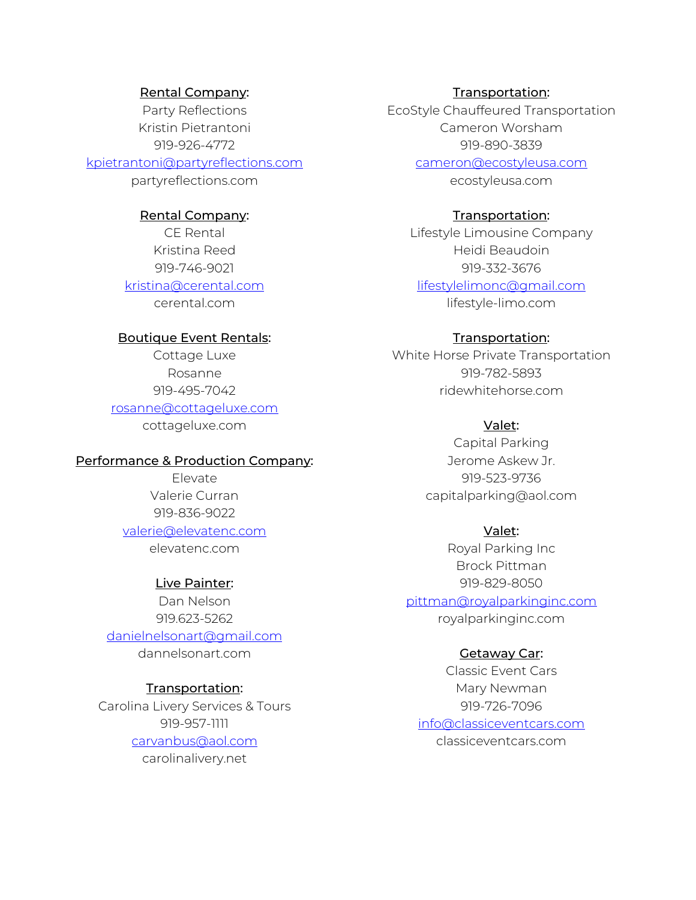#### Rental Company:

Party Reflections Kristin Pietrantoni 919-926-4772 kpietrantoni@partyreflections.com partyreflections.com

#### Rental Company:

CE Rental Kristina Reed 919-746-9021 kristina@cerental.com cerental.com

#### Boutique Event Rentals:

Cottage Luxe Rosanne 919-495-7042 rosanne@cottageluxe.com cottageluxe.com

# Performance & Production Company:

Elevate Valerie Curran 919-836-9022

# valerie@elevatenc.com

elevatenc.com

## Live Painter:

Dan Nelson 919.623-5262 danielnelsonart@gmail.com dannelsonart.com

## Transportation:

Carolina Livery Services & Tours 919-957-1111 carvanbus@aol.com

carolinalivery.net

## Transportation:

EcoStyle Chauffeured Transportation Cameron Worsham 919-890-3839

cameron@ecostyleusa.com

ecostyleusa.com

## Transportation:

Lifestyle Limousine Company Heidi Beaudoin 919-332-3676 lifestylelimonc@gmail.com lifestyle-limo.com

## Transportation:

White Horse Private Transportation 919-782-5893 ridewhitehorse.com

## Valet:

Capital Parking Jerome Askew Jr. 919-523-9736 capitalparking@aol.com

## Valet:

Royal Parking Inc Brock Pittman 919-829-8050 pittman@royalparkinginc.com royalparkinginc.com

## Getaway Car:

Classic Event Cars Mary Newman 919-726-7096 info@classiceventcars.com classiceventcars.com